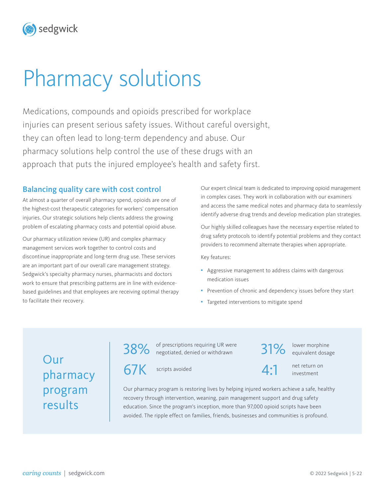# Pharmacy solutions

sedgwick

Medications, compounds and opioids prescribed for workplace injuries can present serious safety issues. Without careful oversight, they can often lead to long-term dependency and abuse. Our pharmacy solutions help control the use of these drugs with an approach that puts the injured employee's health and safety first.

### Balancing quality care with cost control

At almost a quarter of overall pharmacy spend, opioids are one of the highest-cost therapeutic categories for workers' compensation injuries. Our strategic solutions help clients address the growing problem of escalating pharmacy costs and potential opioid abuse.

Our pharmacy utilization review (UR) and complex pharmacy management services work together to control costs and discontinue inappropriate and long-term drug use. These services are an important part of our overall care management strategy. Sedgwick's specialty pharmacy nurses, pharmacists and doctors work to ensure that prescribing patterns are in line with evidencebased guidelines and that employees are receiving optimal therapy to facilitate their recovery.

Our expert clinical team is dedicated to improving opioid management in complex cases. They work in collaboration with our examiners and access the same medical notes and pharmacy data to seamlessly identify adverse drug trends and develop medication plan strategies.

Our highly skilled colleagues have the necessary expertise related to drug safety protocols to identify potential problems and they contact providers to recommend alternate therapies when appropriate.

Key features:

- Aggressive management to address claims with dangerous medication issues
- Prevention of chronic and dependency issues before they start
- Targeted interventions to mitigate spend

## Our pharmacy program results

38% of prescriptions requiring UR were 31% lower morphine<br>38% onegotiated, denied or withdrawn 31% equivalent dosag

67K scripts avoided

equivalent dosage

 $\Delta$  - 1 net return on

investment

Our pharmacy program is restoring lives by helping injured workers achieve a safe, healthy recovery through intervention, weaning, pain management support and drug safety education. Since the program's inception, more than 97,000 opioid scripts have been avoided. The ripple effect on families, friends, businesses and communities is profound.